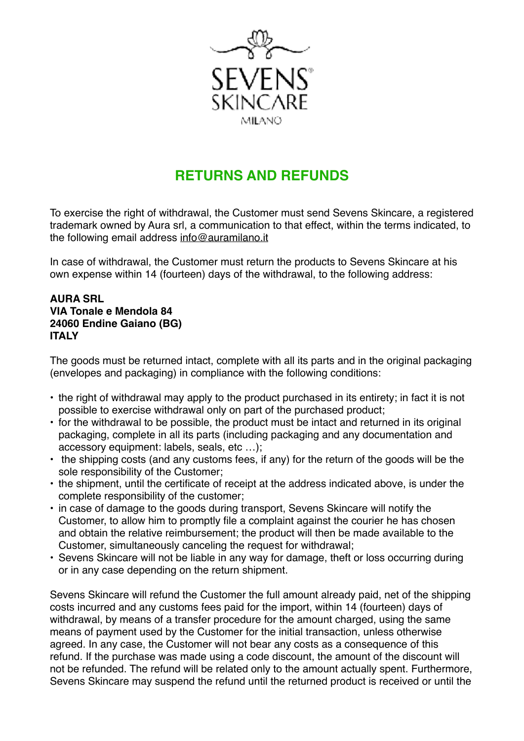

## **RETURNS AND REFUNDS**

To exercise the right of withdrawal, the Customer must send Sevens Skincare, a registered trademark owned by Aura srl, a communication to that effect, within the terms indicated, to the following email address [info@auramilano.it](mailto:info@auramilano.it)

In case of withdrawal, the Customer must return the products to Sevens Skincare at his own expense within 14 (fourteen) days of the withdrawal, to the following address:

## **AURA SRL VIA Tonale e Mendola 84 24060 Endine Gaiano (BG) ITALY**

The goods must be returned intact, complete with all its parts and in the original packaging (envelopes and packaging) in compliance with the following conditions:

- the right of withdrawal may apply to the product purchased in its entirety; in fact it is not possible to exercise withdrawal only on part of the purchased product;
- for the withdrawal to be possible, the product must be intact and returned in its original packaging, complete in all its parts (including packaging and any documentation and accessory equipment: labels, seals, etc …);
- the shipping costs (and any customs fees, if any) for the return of the goods will be the sole responsibility of the Customer;
- the shipment, until the certificate of receipt at the address indicated above, is under the complete responsibility of the customer;
- in case of damage to the goods during transport, Sevens Skincare will notify the Customer, to allow him to promptly file a complaint against the courier he has chosen and obtain the relative reimbursement; the product will then be made available to the Customer, simultaneously canceling the request for withdrawal;
- Sevens Skincare will not be liable in any way for damage, theft or loss occurring during or in any case depending on the return shipment.

Sevens Skincare will refund the Customer the full amount already paid, net of the shipping costs incurred and any customs fees paid for the import, within 14 (fourteen) days of withdrawal, by means of a transfer procedure for the amount charged, using the same means of payment used by the Customer for the initial transaction, unless otherwise agreed. In any case, the Customer will not bear any costs as a consequence of this refund. If the purchase was made using a code discount, the amount of the discount will not be refunded. The refund will be related only to the amount actually spent. Furthermore, Sevens Skincare may suspend the refund until the returned product is received or until the